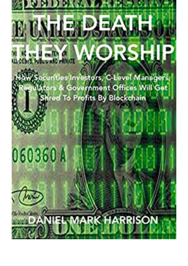## $\hat{\bm{\psi}}$ E **B.C.** ī  $\overline{\phantom{a}}$ **DI PRIVATE Rengal**

acurities Investors, C-Level Managers lors & Government Offices Will Get **hred To Profits By Blockchain** 

## 060360A

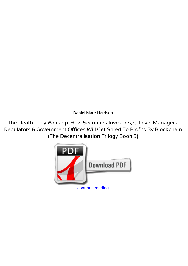*Daniel Mark Harrison*

**The Death They Worship: How Securities Investors, C-Level Managers, Regulators & Government Offices Will Get Shred To Profits By Blockchain (The Decentralisation Trilogy Book 3)**

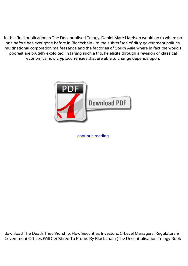In this final publication in The Decentralised Trilogy, Daniel Mark Harrison would go to where no one before has ever gone before in Blockchain - to the subterfuge of dirty government politics, multinational corporation malfeasance and the factories of South Asia where in fact the world's poorest are brutally exploited. In taking such a trip, he elicits through a revision of classical economics how cryptocurrencies that are able to change depends upon.



[continue reading](http://bit.ly/2Tge8Fv)

download The Death They Worship: How Securities Investors, C-Level Managers, Regulators & Government Offices Will Get Shred To Profits By Blockchain (The Decentralisation Trilogy Book